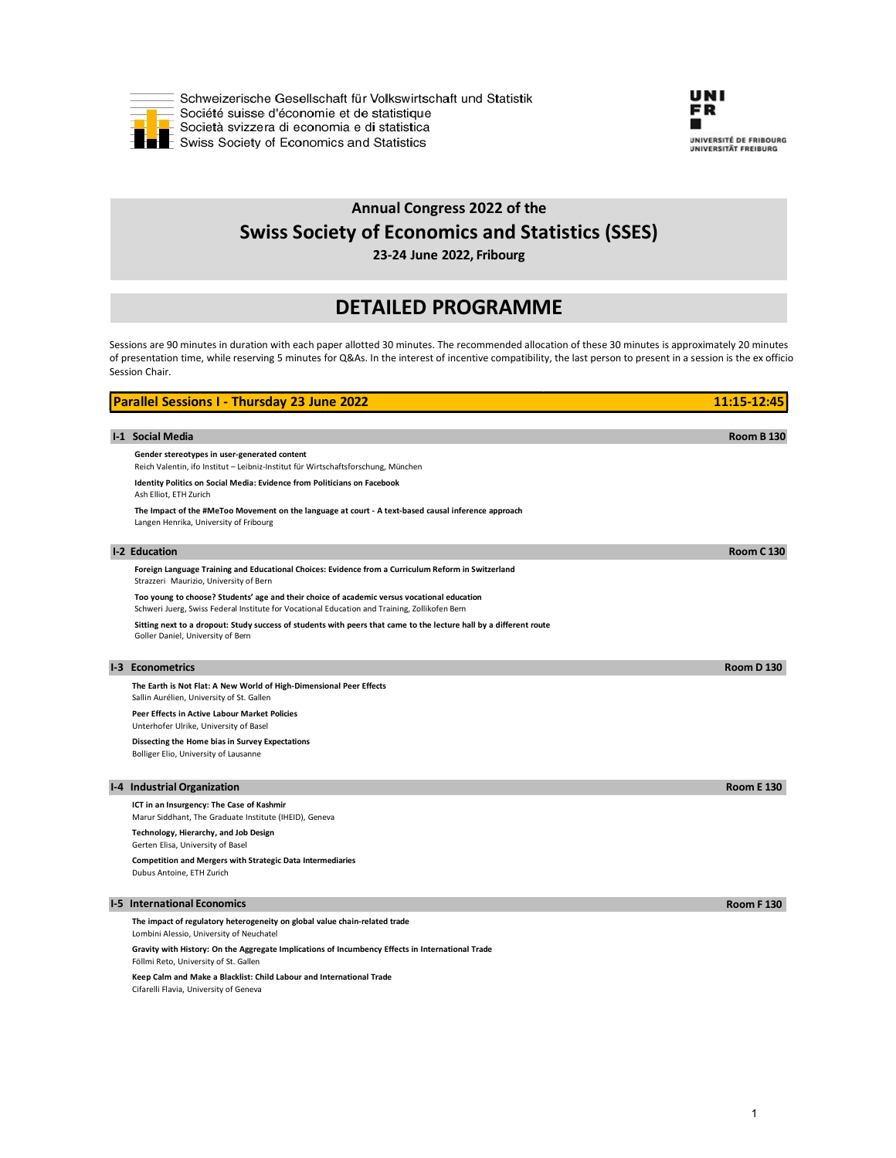

Schweizerische Gesellschaft für Volkswirtschaft und Statistik Société suisse d'économie et de statistique Società svizzera di economia e di statistica  $\frac{1}{2}$  Swiss Society of Economics and Statistics



# Annual Congress 2022 of the Swiss Society of Economics and Statistics (SSES)

23-24 June 2022, Fribourg

## DETAILED PROGRAMME

Sessions are 90 minutes in duration with each paper allotted 30 minutes. The recommended allocation of these 30 minutes is approximately 20 minutes of presentation time, while reserving 5 minutes for Q&As. In the interest of incentive compatibility, the last person to present in a session is the ex officio Session Chair.

| Parallel Sessions I - Thursday 23 June 2022                                                                                                                                                  | 11:15-12:45       |
|----------------------------------------------------------------------------------------------------------------------------------------------------------------------------------------------|-------------------|
|                                                                                                                                                                                              |                   |
| <b>I-1 Social Media</b>                                                                                                                                                                      | <b>Room B 130</b> |
| Gender stereotypes in user-generated content<br>Reich Valentin, ifo Institut - Leibniz-Institut für Wirtschaftsforschung, München                                                            |                   |
| Identity Politics on Social Media: Evidence from Politicians on Facebook<br>Ash Elliot, ETH Zurich                                                                                           |                   |
| The Impact of the #MeToo Movement on the language at court - A text-based causal inference approach<br>Langen Henrika, University of Fribourg                                                |                   |
| 1-2 Education                                                                                                                                                                                | <b>Room C 130</b> |
| Foreign Language Training and Educational Choices: Evidence from a Curriculum Reform in Switzerland<br>Strazzeri Maurizio, University of Bern                                                |                   |
| Too young to choose? Students' age and their choice of academic versus vocational education<br>Schweri Juerg, Swiss Federal Institute for Vocational Education and Training, Zollikofen Bern |                   |
| Sitting next to a dropout: Study success of students with peers that came to the lecture hall by a different route<br>Goller Daniel, University of Bern                                      |                   |
| <b>1-3 Econometrics</b>                                                                                                                                                                      | <b>Room D 130</b> |
| The Earth is Not Flat: A New World of High-Dimensional Peer Effects<br>Sallin Aurélien, University of St. Gallen                                                                             |                   |
| <b>Peer Effects in Active Labour Market Policies</b><br>Unterhofer Ulrike, University of Basel                                                                                               |                   |
| Dissecting the Home bias in Survey Expectations<br>Bolliger Elio, University of Lausanne                                                                                                     |                   |
| <b>I-4 Industrial Organization</b>                                                                                                                                                           | <b>Room E 130</b> |
| ICT in an Insurgency: The Case of Kashmir<br>Marur Siddhant, The Graduate Institute (IHEID), Geneva                                                                                          |                   |
| Technology, Hierarchy, and Job Design<br>Gerten Elisa, University of Basel                                                                                                                   |                   |
| <b>Competition and Mergers with Strategic Data Intermediaries</b><br>Dubus Antoine, ETH Zurich                                                                                               |                   |
| <b>I-5 International Economics</b>                                                                                                                                                           | <b>Room F130</b>  |
| The impact of regulatory heterogeneity on global value chain-related trade<br>Lombini Alessio, University of Neuchatel                                                                       |                   |
| Gravity with History: On the Aggregate Implications of Incumbency Effects in International Trade<br>Föllmi Reto, University of St. Gallen                                                    |                   |

Keep Calm and Make a Blacklist: Child Labour and International Trade Cifarelli Flavia, University of Geneva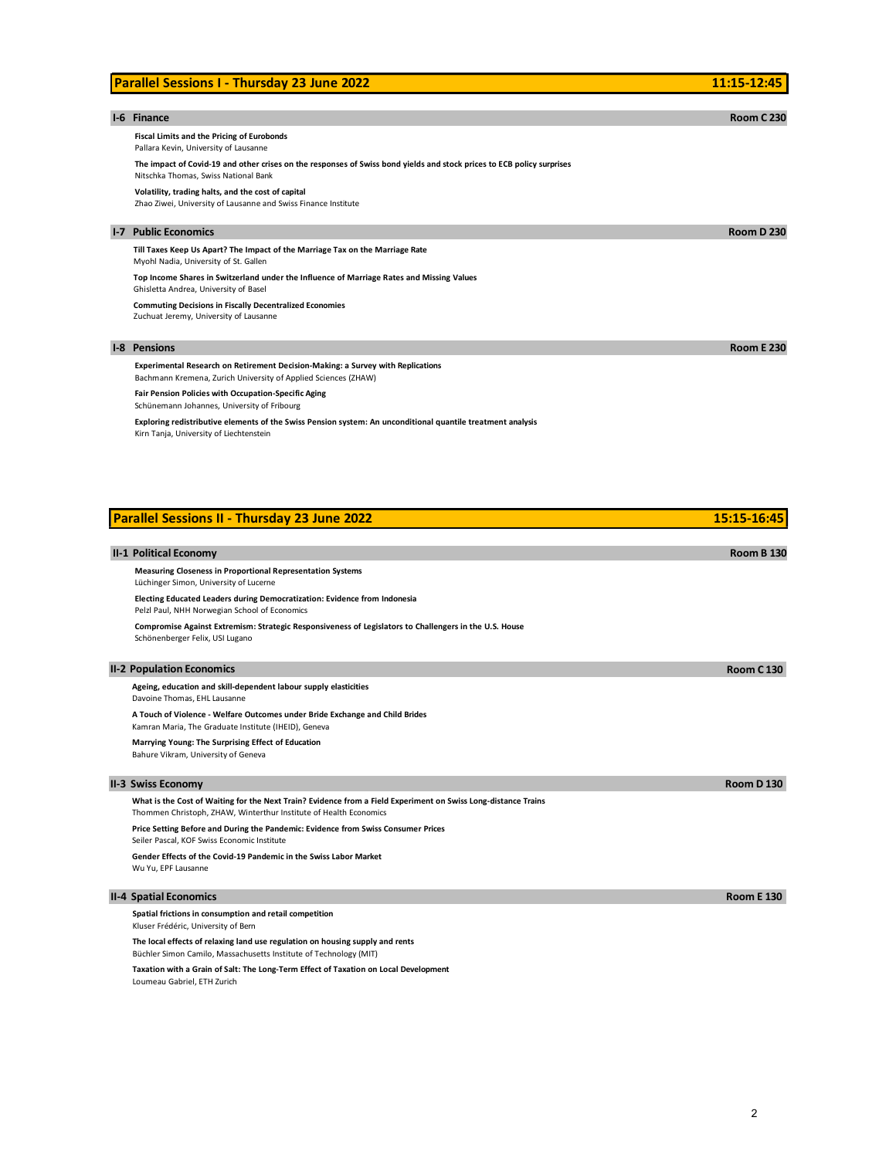## Parallel Sessions I - Thursday 23 June 2022 11:15-12:45 I-6 Finance Room C 230 Fiscal Limits and the Pricing of Eurobonds Pallara Kevin, University of Lausanne The impact of Covid-19 and other crises on the responses of Swiss bond yields and stock prices to ECB policy surprises Nitschka Thomas, Swiss National Bank Volatility, trading halts, and the cost of capital Zhao Ziwei, University of Lausanne and Swiss Finance Institute **I-7 Public Economics** Room D 230 Till Taxes Keep Us Apart? The Impact of the Marriage Tax on the Marriage Rate Myohl Nadia, University of St. Gallen Top Income Shares in Switzerland under the Influence of Marriage Rates and Missing Values Ghisletta Andrea, University of Basel Commuting Decisions in Fiscally Decentralized Economies Zuchuat Jeremy, University of Lausanne I-8 Pensions Room E 230 Experimental Research on Retirement Decision-Making: a Survey with Replications Bachmann Kremena, Zurich University of Applied Sciences (ZHAW) Fair Pension Policies with Occupation-Specific Aging Schünemann Johannes, University of Fribourg Exploring redistributive elements of the Swiss Pension system: An unconditional quantile treatment analysis Kirn Tanja, University of Liechtenstein Parallel Sessions II - Thursday 23 June 2022 15:15-16:45 **II-1 Political Economy** Room B 130 Measuring Closeness in Proportional Representation Systems Lüchinger Simon, University of Lucerne Electing Educated Leaders during Democratization: Evidence from Indonesia Pelzl Paul, NHH Norwegian School of Economics Compromise Against Extremism: Strategic Responsiveness of Legislators to Challengers in the U.S. House Schönenberger Felix, USI Lugano Ageing, education and skill-dependent labour supply elasticities Davoine Thomas, EHL Lausanne A Touch of Violence - Welfare Outcomes under Bride Exchange and Child Brides Kamran Maria, The Graduate Institute (IHEID), Geneva Marrying Young: The Surprising Effect of Education Bahure Vikram, University of Geneva What is the Cost of Waiting for the Next Train? Evidence from a Field Experiment on Swiss Long-distance Trains **II-2 Population Economics** Room C 130 **II-3 Swiss Economy** Room D 130

Thommen Christoph, ZHAW, Winterthur Institute of Health Economics

Price Setting Before and During the Pandemic: Evidence from Swiss Consumer Prices Seiler Pascal, KOF Swiss Economic Institute

Gender Effects of the Covid-19 Pandemic in the Swiss Labor Market Wu Yu, EPF Lausanne

#### **II-4 Spatial Economics** Room E 130

Spatial frictions in consumption and retail competition

Kluser Frédéric, University of Bern

The local effects of relaxing land use regulation on housing supply and rents Büchler Simon Camilo, Massachusetts Institute of Technology (MIT)

Taxation with a Grain of Salt: The Long-Term Effect of Taxation on Local Development Loumeau Gabriel, ETH Zurich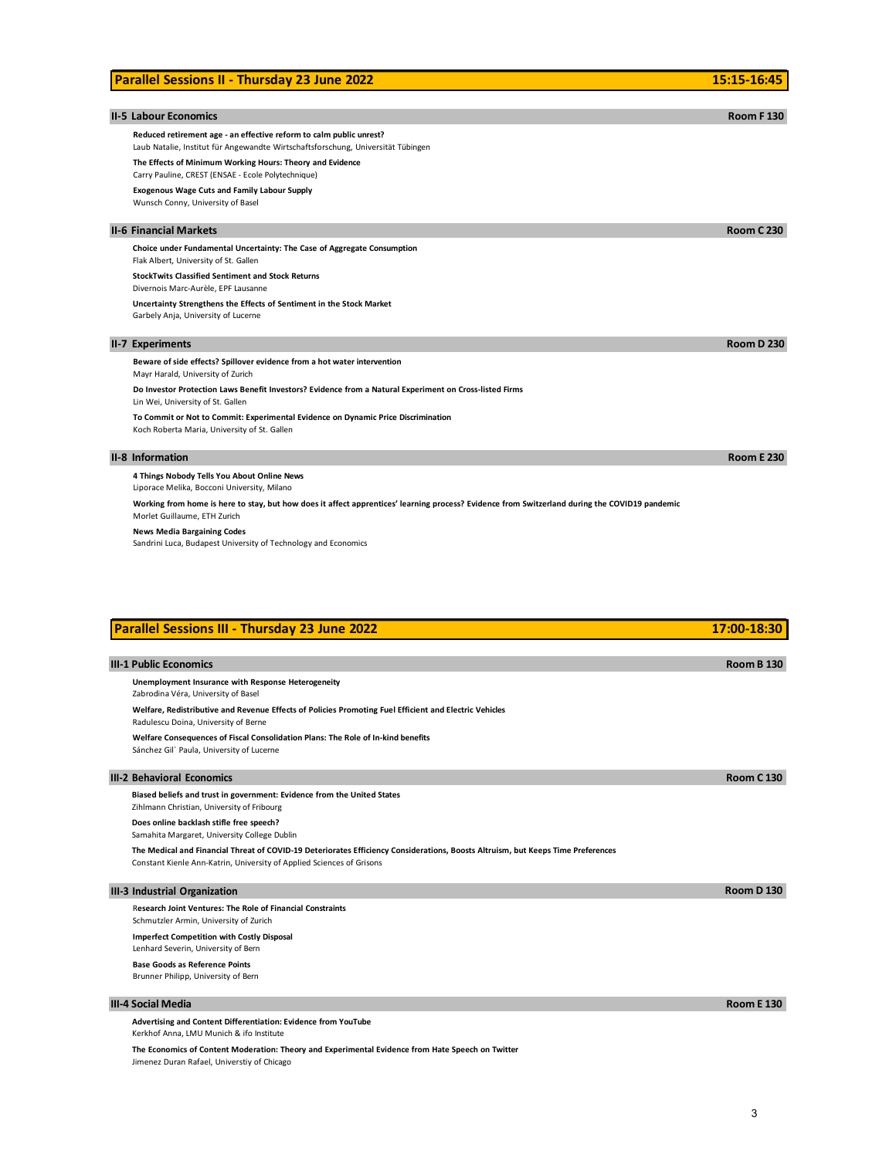| <b>II-5 Labour Economics</b>                                                                                                                                                                              | <b>Room F130</b>  |
|-----------------------------------------------------------------------------------------------------------------------------------------------------------------------------------------------------------|-------------------|
| Reduced retirement age - an effective reform to calm public unrest?<br>Laub Natalie, Institut für Angewandte Wirtschaftsforschung, Universität Tübingen                                                   |                   |
| The Effects of Minimum Working Hours: Theory and Evidence<br>Carry Pauline, CREST (ENSAE - Ecole Polytechnique)                                                                                           |                   |
| <b>Exogenous Wage Cuts and Family Labour Supply</b><br>Wunsch Conny, University of Basel                                                                                                                  |                   |
| <b>II-6 Financial Markets</b>                                                                                                                                                                             | <b>Room C 230</b> |
| Choice under Fundamental Uncertainty: The Case of Aggregate Consumption<br>Flak Albert, University of St. Gallen                                                                                          |                   |
| <b>StockTwits Classified Sentiment and Stock Returns</b><br>Divernois Marc-Aurèle, EPF Lausanne                                                                                                           |                   |
| Uncertainty Strengthens the Effects of Sentiment in the Stock Market<br>Garbely Anja, University of Lucerne                                                                                               |                   |
| II-7 Experiments                                                                                                                                                                                          | <b>Room D 230</b> |
| Beware of side effects? Spillover evidence from a hot water intervention<br>Mayr Harald, University of Zurich                                                                                             |                   |
| Do Investor Protection Laws Benefit Investors? Evidence from a Natural Experiment on Cross-listed Firms<br>Lin Wei, University of St. Gallen                                                              |                   |
| To Commit or Not to Commit: Experimental Evidence on Dynamic Price Discrimination<br>Koch Roberta Maria, University of St. Gallen                                                                         |                   |
| II-8 Information                                                                                                                                                                                          | <b>Room E 230</b> |
| 4 Things Nobody Tells You About Online News<br>Liporace Melika, Bocconi University, Milano                                                                                                                |                   |
| Working from home is here to stay, but how does it affect apprentices' learning process? Evidence from Switzerland during the COVID19 pandemic<br>Morlet Guillaume, ETH Zurich                            |                   |
| <b>News Media Bargaining Codes</b>                                                                                                                                                                        |                   |
|                                                                                                                                                                                                           |                   |
| Parallel Sessions III - Thursday 23 June 2022                                                                                                                                                             | 17:00-18:30       |
|                                                                                                                                                                                                           |                   |
| <b>III-1 Public Economics</b><br>Unemployment Insurance with Response Heterogeneity                                                                                                                       | <b>Room B 130</b> |
| Zabrodina Véra, University of Basel<br>Welfare, Redistributive and Revenue Effects of Policies Promoting Fuel Efficient and Electric Vehicles                                                             |                   |
| Radulescu Doina, University of Berne<br>Welfare Consequences of Fiscal Consolidation Plans: The Role of In-kind benefits                                                                                  |                   |
| Sánchez Gil' Paula, University of Lucerne                                                                                                                                                                 |                   |
| <b>III-2 Behavioral Economics</b>                                                                                                                                                                         | <b>Room C130</b>  |
| Biased beliefs and trust in government: Evidence from the United States<br>Zihlmann Christian, University of Fribourg                                                                                     |                   |
| Does online backlash stifle free speech?<br>Samahita Margaret, University College Dublin                                                                                                                  |                   |
| The Medical and Financial Threat of COVID-19 Deteriorates Efficiency Considerations, Boosts Altruism, but Keeps Time Preferences<br>Constant Kienle Ann-Katrin, University of Applied Sciences of Grisons |                   |
| III-3 Industrial Organization                                                                                                                                                                             | <b>Room D 130</b> |
| Research Joint Ventures: The Role of Financial Constraints<br>Schmutzler Armin, University of Zurich                                                                                                      |                   |
| <b>Imperfect Competition with Costly Disposal</b><br>Lenhard Severin, University of Bern                                                                                                                  |                   |
| <b>Base Goods as Reference Points</b><br>Brunner Philipp, University of Bern                                                                                                                              |                   |

Parallel Sessions II - Thursday 23 June 2022 15:15:15 16:45

Advertising and Content Differentiation: Evidence from YouTube Kerkhof Anna, LMU Munich & ifo Institute

The Economics of Content Moderation: Theory and Experimental Evidence from Hate Speech on Twitter Jimenez Duran Rafael, Universtiy of Chicago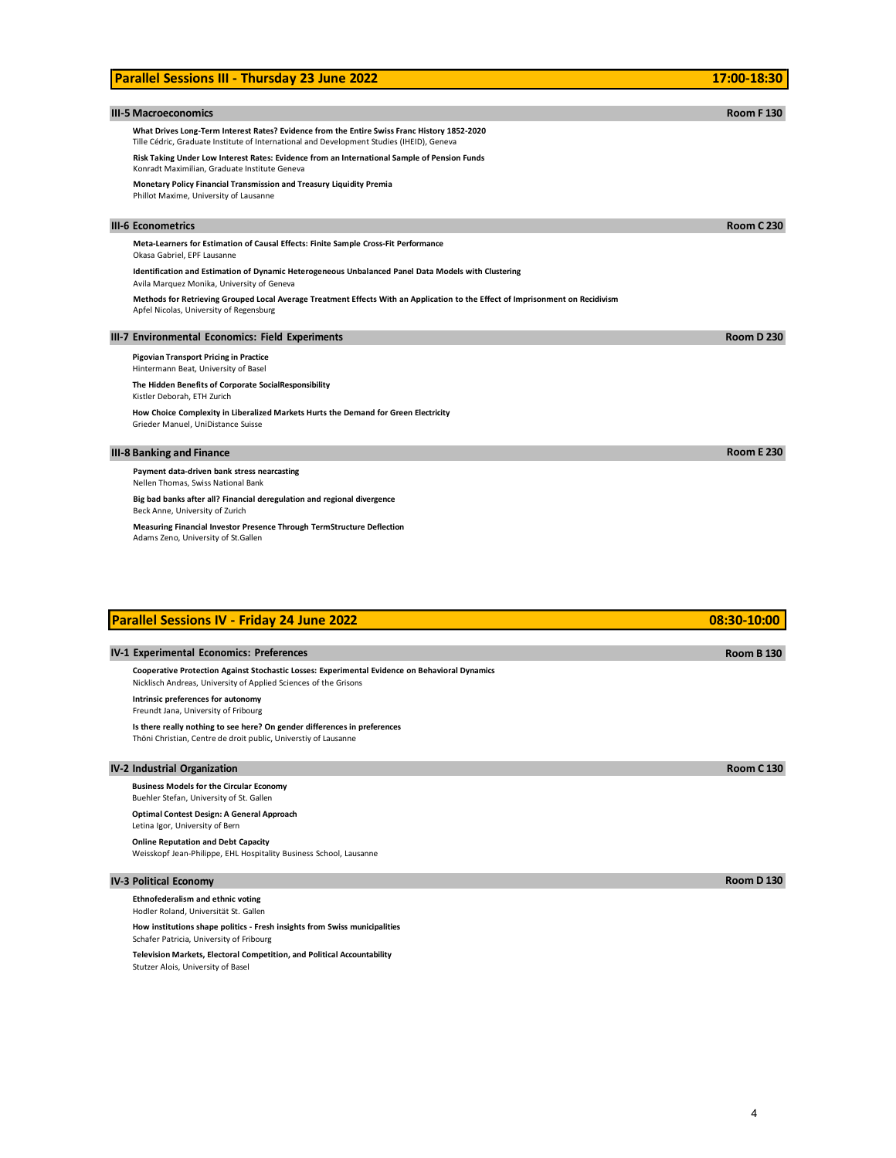| <b>Parallel Sessions III - Thursday 23 June 2022</b>                                                                                                                                      | 17:00-18:30       |
|-------------------------------------------------------------------------------------------------------------------------------------------------------------------------------------------|-------------------|
| <b>III-5 Macroeconomics</b>                                                                                                                                                               | <b>Room F130</b>  |
| What Drives Long-Term Interest Rates? Evidence from the Entire Swiss Franc History 1852-2020<br>Tille Cédric, Graduate Institute of International and Development Studies (IHEID), Geneva |                   |
| Risk Taking Under Low Interest Rates: Evidence from an International Sample of Pension Funds<br>Konradt Maximilian, Graduate Institute Geneva                                             |                   |
| Monetary Policy Financial Transmission and Treasury Liquidity Premia<br>Phillot Maxime, University of Lausanne                                                                            |                   |
| <b>III-6 Econometrics</b>                                                                                                                                                                 | <b>Room C 230</b> |
| Meta-Learners for Estimation of Causal Effects: Finite Sample Cross-Fit Performance<br>Okasa Gabriel, EPF Lausanne                                                                        |                   |
| Identification and Estimation of Dynamic Heterogeneous Unbalanced Panel Data Models with Clustering<br>Avila Marquez Monika, University of Geneva                                         |                   |
| Methods for Retrieving Grouped Local Average Treatment Effects With an Application to the Effect of Imprisonment on Recidivism<br>Apfel Nicolas, University of Regensburg                 |                   |
| III-7 Environmental Economics: Field Experiments                                                                                                                                          | <b>Room D 230</b> |
| <b>Pigovian Transport Pricing in Practice</b><br>Hintermann Beat, University of Basel                                                                                                     |                   |
| The Hidden Benefits of Corporate SocialResponsibility<br>Kistler Deborah, ETH Zurich                                                                                                      |                   |
| How Choice Complexity in Liberalized Markets Hurts the Demand for Green Electricity<br>Grieder Manuel, UniDistance Suisse                                                                 |                   |
| <b>III-8 Banking and Finance</b>                                                                                                                                                          | <b>Room E 230</b> |
| Payment data-driven bank stress nearcasting<br>Nellen Thomas, Swiss National Bank                                                                                                         |                   |
| Big bad banks after all? Financial deregulation and regional divergence<br>Beck Anne, University of Zurich                                                                                |                   |
| Measuring Financial Investor Presence Through TermStructure Deflection<br>Adams Zeno, University of St.Gallen                                                                             |                   |
|                                                                                                                                                                                           |                   |
|                                                                                                                                                                                           |                   |
|                                                                                                                                                                                           |                   |
| Parallel Sessions IV - Friday 24 June 2022                                                                                                                                                | 08:30-10:00       |
| IV-1 Experimental Economics: Preferences                                                                                                                                                  | <b>Room B 130</b> |
| Cooperative Protection Against Stochastic Losses: Experimental Evidence on Behavioral Dynamics<br>Nicklisch Andreas, University of Applied Sciences of the Grisons                        |                   |
| Intrinsic preferences for autonomy<br>Freundt Jana, University of Fribourg                                                                                                                |                   |
| Is there really nothing to see here? On gender differences in preferences<br>Thöni Christian, Centre de droit public, Universtiy of Lausanne                                              |                   |
|                                                                                                                                                                                           |                   |
| <b>IV-2 Industrial Organization</b>                                                                                                                                                       | <b>Room C130</b>  |
| <b>Business Models for the Circular Economy</b><br>Buehler Stefan, University of St. Gallen                                                                                               |                   |
| Optimal Contest Design: A General Approach<br>Letina Igor, University of Bern                                                                                                             |                   |
| <b>Online Reputation and Debt Capacity</b><br>Weisskopf Jean-Philippe, EHL Hospitality Business School, Lausanne                                                                          |                   |
| <b>IV-3 Political Economy</b>                                                                                                                                                             | <b>Room D 130</b> |
| Ethnofederalism and ethnic voting<br>Hodler Roland, Universität St. Gallen                                                                                                                |                   |
| How institutions shape politics - Fresh insights from Swiss municipalities<br>Schafer Patricia, University of Fribourg                                                                    |                   |
| Television Markets, Electoral Competition, and Political Accountability<br>Stutzer Alois, University of Basel                                                                             |                   |
|                                                                                                                                                                                           |                   |
|                                                                                                                                                                                           |                   |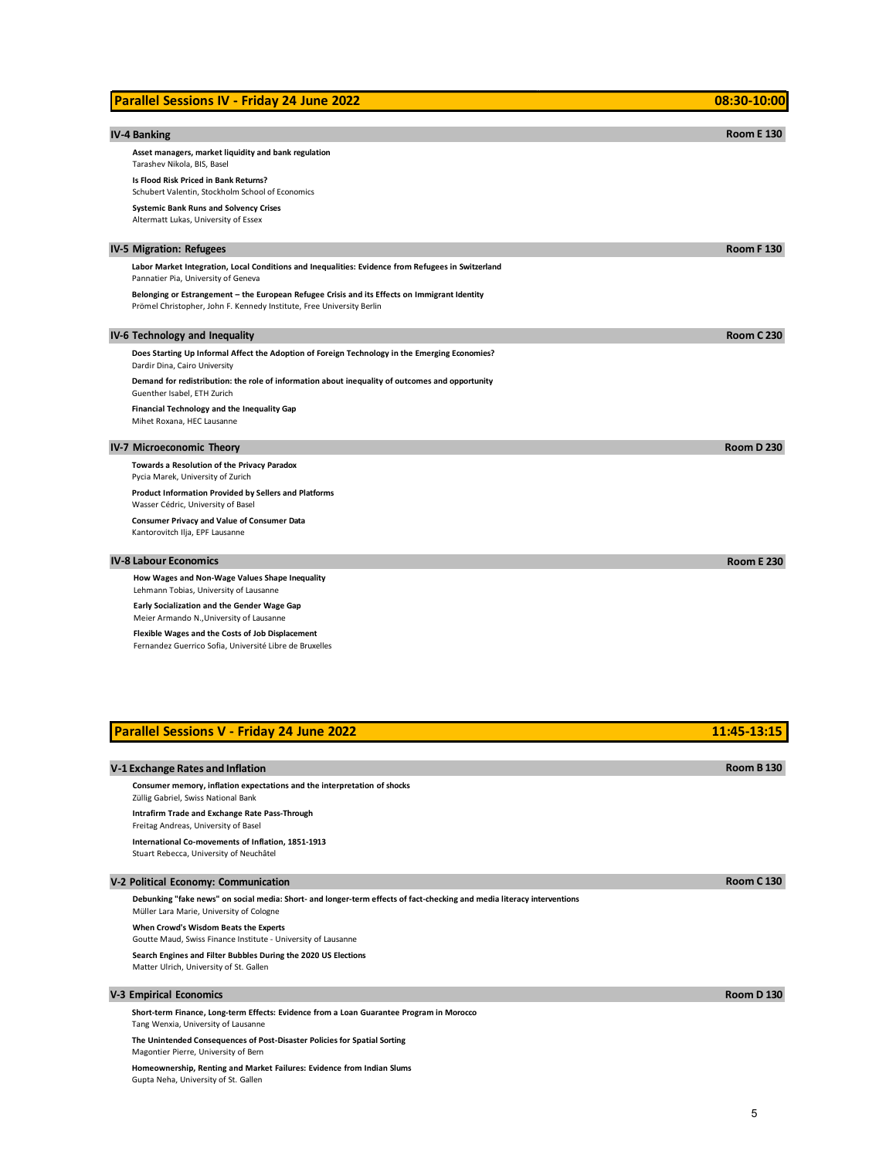| <b>Parallel Sessions IV - Friday 24 June 2022</b>                                                                                                                      | 08:30-10:00       |
|------------------------------------------------------------------------------------------------------------------------------------------------------------------------|-------------------|
| <b>IV-4 Banking</b>                                                                                                                                                    | <b>Room E 130</b> |
| Asset managers, market liquidity and bank regulation<br>Tarashev Nikola, BIS, Basel                                                                                    |                   |
| Is Flood Risk Priced in Bank Returns?<br>Schubert Valentin, Stockholm School of Economics                                                                              |                   |
| <b>Systemic Bank Runs and Solvency Crises</b><br>Altermatt Lukas, University of Essex                                                                                  |                   |
| <b>IV-5 Migration: Refugees</b>                                                                                                                                        | <b>Room F130</b>  |
| Labor Market Integration, Local Conditions and Inequalities: Evidence from Refugees in Switzerland<br>Pannatier Pia, University of Geneva                              |                   |
| Belonging or Estrangement - the European Refugee Crisis and its Effects on Immigrant Identity<br>Prömel Christopher, John F. Kennedy Institute, Free University Berlin |                   |
| IV-6 Technology and Inequality                                                                                                                                         | <b>Room C 230</b> |
| Does Starting Up Informal Affect the Adoption of Foreign Technology in the Emerging Economies?<br>Dardir Dina, Cairo University                                        |                   |
| Demand for redistribution: the role of information about inequality of outcomes and opportunity<br>Guenther Isabel, ETH Zurich                                         |                   |
| Financial Technology and the Inequality Gap<br>Mihet Roxana, HEC Lausanne                                                                                              |                   |
| IV-7 Microeconomic Theory                                                                                                                                              | <b>Room D 230</b> |
| Towards a Resolution of the Privacy Paradox<br>Pycia Marek, University of Zurich                                                                                       |                   |
| Product Information Provided by Sellers and Platforms<br>Wasser Cédric, University of Basel                                                                            |                   |
| Consumer Privacy and Value of Consumer Data<br>Kantorovitch Ilja, EPF Lausanne                                                                                         |                   |
| <b>IV-8 Labour Economics</b>                                                                                                                                           | <b>Room E 230</b> |
| How Wages and Non-Wage Values Shape Inequality<br>Lehmann Tobias, University of Lausanne                                                                               |                   |
| Early Socialization and the Gender Wage Gap<br>Meier Armando N., University of Lausanne                                                                                |                   |
| Flexible Wages and the Costs of Job Displacement<br>Fernandez Guerrico Sofia, Université Libre de Bruxelles                                                            |                   |

| <b>Parallel Sessions V - Friday 24 June 2022</b>                                                                                                                    | 11:45-13:15       |
|---------------------------------------------------------------------------------------------------------------------------------------------------------------------|-------------------|
|                                                                                                                                                                     |                   |
| V-1 Exchange Rates and Inflation                                                                                                                                    | <b>Room B 130</b> |
| Consumer memory, inflation expectations and the interpretation of shocks<br>Züllig Gabriel, Swiss National Bank                                                     |                   |
| Intrafirm Trade and Exchange Rate Pass-Through<br>Freitag Andreas, University of Basel                                                                              |                   |
| International Co-movements of Inflation, 1851-1913<br>Stuart Rebecca, University of Neuchâtel                                                                       |                   |
| V-2 Political Economy: Communication                                                                                                                                | <b>Room C130</b>  |
| Debunking "fake news" on social media: Short- and longer-term effects of fact-checking and media literacy interventions<br>Müller Lara Marie, University of Cologne |                   |
| When Crowd's Wisdom Beats the Experts<br>Goutte Maud, Swiss Finance Institute - University of Lausanne                                                              |                   |
|                                                                                                                                                                     |                   |

Search Engines and Filter Bubbles During the 2020 US Elections Matter Ulrich, University of St. Gallen

### V-3 Empirical Economics Room D 130

Short-term Finance, Long-term Effects: Evidence from a Loan Guarantee Program in Morocco Tang Wenxia, University of Lausanne

The Unintended Consequences of Post-Disaster Policies for Spatial Sorting

Magontier Pierre, University of Bern

Homeownership, Renting and Market Failures: Evidence from Indian Slums Gupta Neha, University of St. Gallen